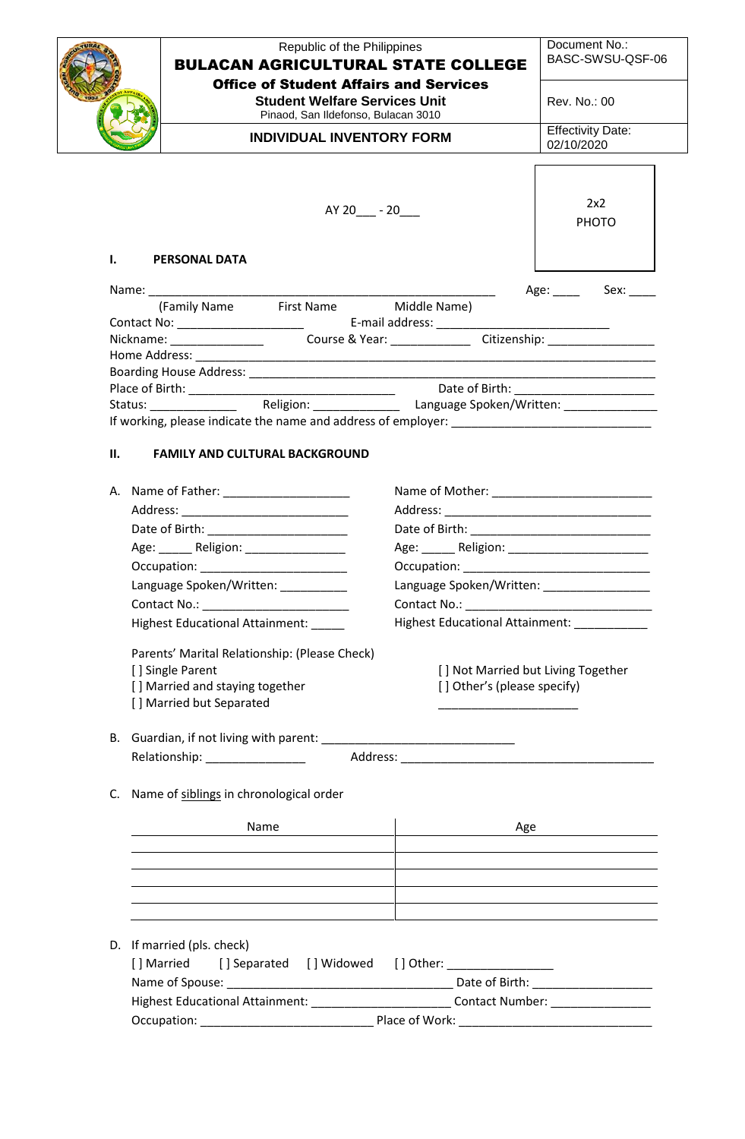|     | Republic of the Philippines<br><b>BULACAN AGRICULTURAL STATE COLLEGE</b><br><b>Office of Student Affairs and Services</b>                                                                                                     |                                              | Document No.:<br>BASC-SWSU-QSF-06                                                                                   |
|-----|-------------------------------------------------------------------------------------------------------------------------------------------------------------------------------------------------------------------------------|----------------------------------------------|---------------------------------------------------------------------------------------------------------------------|
|     | <b>Student Welfare Services Unit</b><br>Pinaod, San Ildefonso, Bulacan 3010                                                                                                                                                   |                                              | Rev. No.: 00                                                                                                        |
|     | <b>INDIVIDUAL INVENTORY FORM</b>                                                                                                                                                                                              |                                              | <b>Effectivity Date:</b><br>02/10/2020                                                                              |
|     |                                                                                                                                                                                                                               |                                              |                                                                                                                     |
|     | $AY 20 - 20$                                                                                                                                                                                                                  |                                              | 2x2<br><b>PHOTO</b>                                                                                                 |
| L.  | <b>PERSONAL DATA</b>                                                                                                                                                                                                          |                                              |                                                                                                                     |
|     |                                                                                                                                                                                                                               |                                              | Age: Sex:                                                                                                           |
|     | First Name Middle Name)<br>(Family Name                                                                                                                                                                                       |                                              |                                                                                                                     |
|     | Contact No: ___________________________   E-mail address: _______________________                                                                                                                                             |                                              |                                                                                                                     |
|     | Nickname: Course & Year: Citizenship: Citizenship:                                                                                                                                                                            |                                              |                                                                                                                     |
|     |                                                                                                                                                                                                                               |                                              |                                                                                                                     |
|     |                                                                                                                                                                                                                               |                                              | <u> 1989 - Johann John Stone, markin amerikan bisa di sebagai pertama pertama di sebagai pertama di sebagai per</u> |
|     |                                                                                                                                                                                                                               |                                              |                                                                                                                     |
|     |                                                                                                                                                                                                                               |                                              |                                                                                                                     |
|     |                                                                                                                                                                                                                               |                                              |                                                                                                                     |
| II. | <b>FAMILY AND CULTURAL BACKGROUND</b>                                                                                                                                                                                         |                                              |                                                                                                                     |
|     |                                                                                                                                                                                                                               |                                              |                                                                                                                     |
|     |                                                                                                                                                                                                                               |                                              |                                                                                                                     |
|     |                                                                                                                                                                                                                               |                                              |                                                                                                                     |
|     |                                                                                                                                                                                                                               |                                              |                                                                                                                     |
|     |                                                                                                                                                                                                                               |                                              |                                                                                                                     |
|     | Occupation:                                                                                                                                                                                                                   | Occupation:                                  |                                                                                                                     |
|     | Language Spoken/Written: __________                                                                                                                                                                                           | Language Spoken/Written: _________________   |                                                                                                                     |
|     | Contact No.: _________________________                                                                                                                                                                                        |                                              |                                                                                                                     |
|     | Highest Educational Attainment:                                                                                                                                                                                               | Highest Educational Attainment: ____________ |                                                                                                                     |
|     | Parents' Marital Relationship: (Please Check)                                                                                                                                                                                 |                                              |                                                                                                                     |
|     | [] Single Parent                                                                                                                                                                                                              | [] Not Married but Living Together           |                                                                                                                     |
|     | [] Married and staying together                                                                                                                                                                                               | [] Other's (please specify)                  |                                                                                                                     |
|     | [] Married but Separated                                                                                                                                                                                                      |                                              |                                                                                                                     |
|     |                                                                                                                                                                                                                               |                                              |                                                                                                                     |
|     | Relationship: __________________                                                                                                                                                                                              |                                              |                                                                                                                     |
|     |                                                                                                                                                                                                                               |                                              |                                                                                                                     |
|     | C. Name of siblings in chronological order                                                                                                                                                                                    |                                              |                                                                                                                     |
|     | Name                                                                                                                                                                                                                          |                                              | Age                                                                                                                 |
|     |                                                                                                                                                                                                                               |                                              |                                                                                                                     |
|     |                                                                                                                                                                                                                               |                                              |                                                                                                                     |
|     | the control of the control of the control of the control of the control of the control of the control of the control of the control of the control of the control of the control of the control of the control of the control |                                              |                                                                                                                     |
|     |                                                                                                                                                                                                                               |                                              |                                                                                                                     |
|     |                                                                                                                                                                                                                               |                                              |                                                                                                                     |
|     |                                                                                                                                                                                                                               |                                              |                                                                                                                     |
|     | D. If married (pls. check)                                                                                                                                                                                                    |                                              |                                                                                                                     |
|     | [] Married [] Separated [] Widowed [] Other: ___________________________________                                                                                                                                              |                                              |                                                                                                                     |
|     |                                                                                                                                                                                                                               |                                              |                                                                                                                     |
|     | Highest Educational Attainment: ___________________________Contact Number: ________________________                                                                                                                           |                                              |                                                                                                                     |